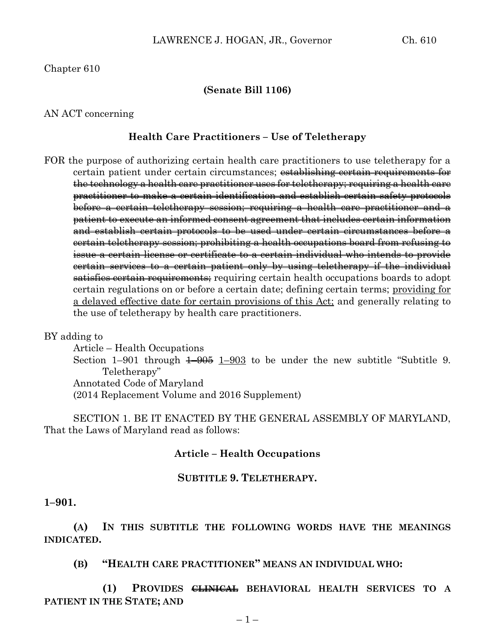# **(Senate Bill 1106)**

### AN ACT concerning

# **Health Care Practitioners – Use of Teletherapy**

FOR the purpose of authorizing certain health care practitioners to use teletherapy for a certain patient under certain circumstances; establishing certain requirements for the technology a health care practitioner uses for teletherapy; requiring a health care practitioner to make a certain identification and establish certain safety protocols before a certain teletherapy session; requiring a health care practitioner and a patient to execute an informed consent agreement that includes certain information and establish certain protocols to be used under certain circumstances before a certain teletherapy session; prohibiting a health occupations board from refusing to issue a certain license or certificate to a certain individual who intends to provide certain services to a certain patient only by using teletherapy if the individual satisfies certain requirements; requiring certain health occupations boards to adopt certain regulations on or before a certain date; defining certain terms; providing for a delayed effective date for certain provisions of this Act; and generally relating to the use of teletherapy by health care practitioners.

BY adding to

Article – Health Occupations Section 1–901 through  $\frac{1-905}{1-903}$  to be under the new subtitle "Subtitle 9. Teletherapy" Annotated Code of Maryland (2014 Replacement Volume and 2016 Supplement)

SECTION 1. BE IT ENACTED BY THE GENERAL ASSEMBLY OF MARYLAND, That the Laws of Maryland read as follows:

### **Article – Health Occupations**

### **SUBTITLE 9. TELETHERAPY.**

#### **1–901.**

**(A) IN THIS SUBTITLE THE FOLLOWING WORDS HAVE THE MEANINGS INDICATED.**

**(B) "HEALTH CARE PRACTITIONER" MEANS AN INDIVIDUAL WHO:**

**(1) PROVIDES CLINICAL BEHAVIORAL HEALTH SERVICES TO A PATIENT IN THE STATE; AND**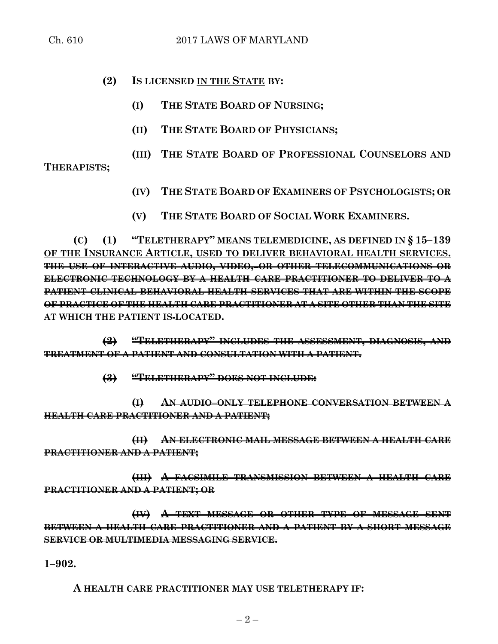- **(2) IS LICENSED IN THE STATE BY:**
	- **(I) THE STATE BOARD OF NURSING;**
	- **(II) THE STATE BOARD OF PHYSICIANS;**
	- **(III) THE STATE BOARD OF PROFESSIONAL COUNSELORS AND**

**THERAPISTS;**

- **(IV) THE STATE BOARD OF EXAMINERS OF PSYCHOLOGISTS; OR**
- **(V) THE STATE BOARD OF SOCIAL WORK EXAMINERS.**

**(C) (1) "TELETHERAPY" MEANS TELEMEDICINE, AS DEFINED IN § 15–139 OF THE INSURANCE ARTICLE, USED TO DELIVER BEHAVIORAL HEALTH SERVICES. THE USE OF INTERACTIVE AUDIO, VIDEO, OR OTHER TELECOMMUNICATIONS OR ELECTRONIC TECHNOLOGY BY A HEALTH CARE PRACTITIONER TO DELIVER TO A PATIENT CLINICAL BEHAVIORAL HEALTH SERVICES THAT ARE WITHIN THE SCOPE OF PRACTICE OF THE HEALTH CARE PRACTITIONER AT A SITE OTHER THAN THE SITE AT WHICH THE PATIENT IS LOCATED.**

**(2) "TELETHERAPY" INCLUDES THE ASSESSMENT, DIAGNOSIS, AND TREATMENT OF A PATIENT AND CONSULTATION WITH A PATIENT.**

**(3) "TELETHERAPY" DOES NOT INCLUDE:**

**(I) AN AUDIO–ONLY TELEPHONE CONVERSATION BETWEEN A HEALTH CARE PRACTITIONER AND A PATIENT;**

**(II) AN ELECTRONIC MAIL MESSAGE BETWEEN A HEALTH CARE PRACTITIONER AND A PATIENT;**

**(III) A FACSIMILE TRANSMISSION BETWEEN A HEALTH CARE PRACTITIONER AND A PATIENT; OR**

**(IV) A TEXT MESSAGE OR OTHER TYPE OF MESSAGE SENT BETWEEN A HEALTH CARE PRACTITIONER AND A PATIENT BY A SHORT MESSAGE SERVICE OR MULTIMEDIA MESSAGING SERVICE.**

**1–902.**

**A HEALTH CARE PRACTITIONER MAY USE TELETHERAPY IF:**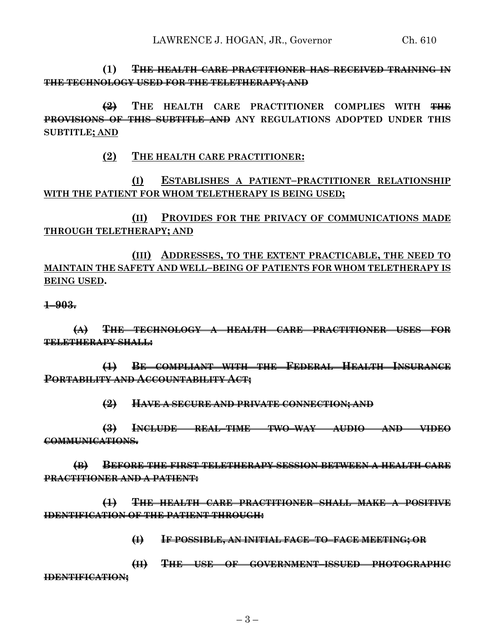LAWRENCE J. HOGAN, JR., Governor Ch. 610

**(1) THE HEALTH CARE PRACTITIONER HAS RECEIVED TRAINING IN THE TECHNOLOGY USED FOR THE TELETHERAPY; AND**

**(2) THE HEALTH CARE PRACTITIONER COMPLIES WITH THE PROVISIONS OF THIS SUBTITLE AND ANY REGULATIONS ADOPTED UNDER THIS SUBTITLE; AND**

**(2) THE HEALTH CARE PRACTITIONER:**

**(I) ESTABLISHES A PATIENT–PRACTITIONER RELATIONSHIP WITH THE PATIENT FOR WHOM TELETHERAPY IS BEING USED;**

**(II) PROVIDES FOR THE PRIVACY OF COMMUNICATIONS MADE THROUGH TELETHERAPY; AND**

**(III) ADDRESSES, TO THE EXTENT PRACTICABLE, THE NEED TO MAINTAIN THE SAFETY AND WELL–BEING OF PATIENTS FOR WHOM TELETHERAPY IS BEING USED.**

### **1–903.**

**(A) THE TECHNOLOGY A HEALTH CARE PRACTITIONER USES FOR TELETHERAPY SHALL:**

**(1) BE COMPLIANT WITH THE FEDERAL HEALTH INSURANCE PORTABILITY AND ACCOUNTABILITY ACT;**

**(2) HAVE A SECURE AND PRIVATE CONNECTION; AND**

**(3) INCLUDE REAL–TIME TWO–WAY AUDIO AND VIDEO COMMUNICATIONS.**

**(B) BEFORE THE FIRST TELETHERAPY SESSION BETWEEN A HEALTH CARE PRACTITIONER AND A PATIENT:**

**(1) THE HEALTH CARE PRACTITIONER SHALL MAKE A POSITIVE IDENTIFICATION OF THE PATIENT THROUGH:**

**(I) IF POSSIBLE, AN INITIAL FACE–TO–FACE MEETING; OR**

**(II) THE USE OF GOVERNMENT–ISSUED PHOTOGRAPHIC IDENTIFICATION;**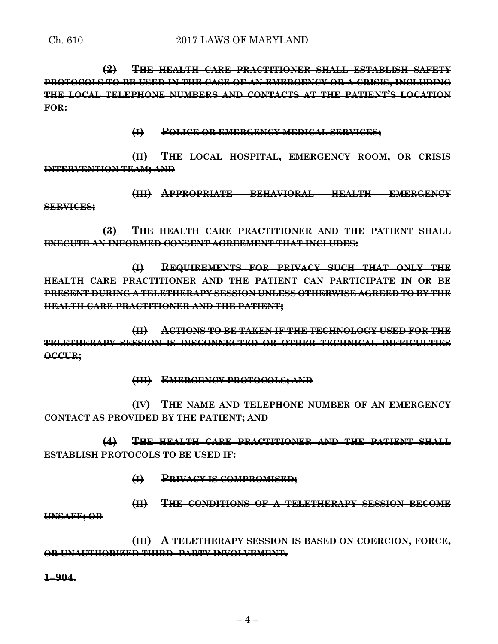**(2) THE HEALTH CARE PRACTITIONER SHALL ESTABLISH SAFETY PROTOCOLS TO BE USED IN THE CASE OF AN EMERGENCY OR A CRISIS, INCLUDING THE LOCAL TELEPHONE NUMBERS AND CONTACTS AT THE PATIENT'S LOCATION FOR:**

**(I) POLICE OR EMERGENCY MEDICAL SERVICES;**

**(II) THE LOCAL HOSPITAL, EMERGENCY ROOM, OR CRISIS INTERVENTION TEAM; AND**

**(III) APPROPRIATE BEHAVIORAL HEALTH EMERGENCY SERVICES;**

**(3) THE HEALTH CARE PRACTITIONER AND THE PATIENT SHALL EXECUTE AN INFORMED CONSENT AGREEMENT THAT INCLUDES:**

**(I) REQUIREMENTS FOR PRIVACY SUCH THAT ONLY THE HEALTH CARE PRACTITIONER AND THE PATIENT CAN PARTICIPATE IN OR BE PRESENT DURING A TELETHERAPY SESSION UNLESS OTHERWISE AGREED TO BY THE HEALTH CARE PRACTITIONER AND THE PATIENT;**

**(II) ACTIONS TO BE TAKEN IF THE TECHNOLOGY USED FOR THE TELETHERAPY SESSION IS DISCONNECTED OR OTHER TECHNICAL DIFFICULTIES OCCUR;**

**(III) EMERGENCY PROTOCOLS; AND**

**(IV) THE NAME AND TELEPHONE NUMBER OF AN EMERGENCY CONTACT AS PROVIDED BY THE PATIENT; AND**

**(4) THE HEALTH CARE PRACTITIONER AND THE PATIENT SHALL ESTABLISH PROTOCOLS TO BE USED IF:**

- **(I) PRIVACY IS COMPROMISED;**
- **(II) THE CONDITIONS OF A TELETHERAPY SESSION BECOME**

**UNSAFE; OR**

**(III) A TELETHERAPY SESSION IS BASED ON COERCION, FORCE, OR UNAUTHORIZED THIRD–PARTY INVOLVEMENT.**

**1–904.**